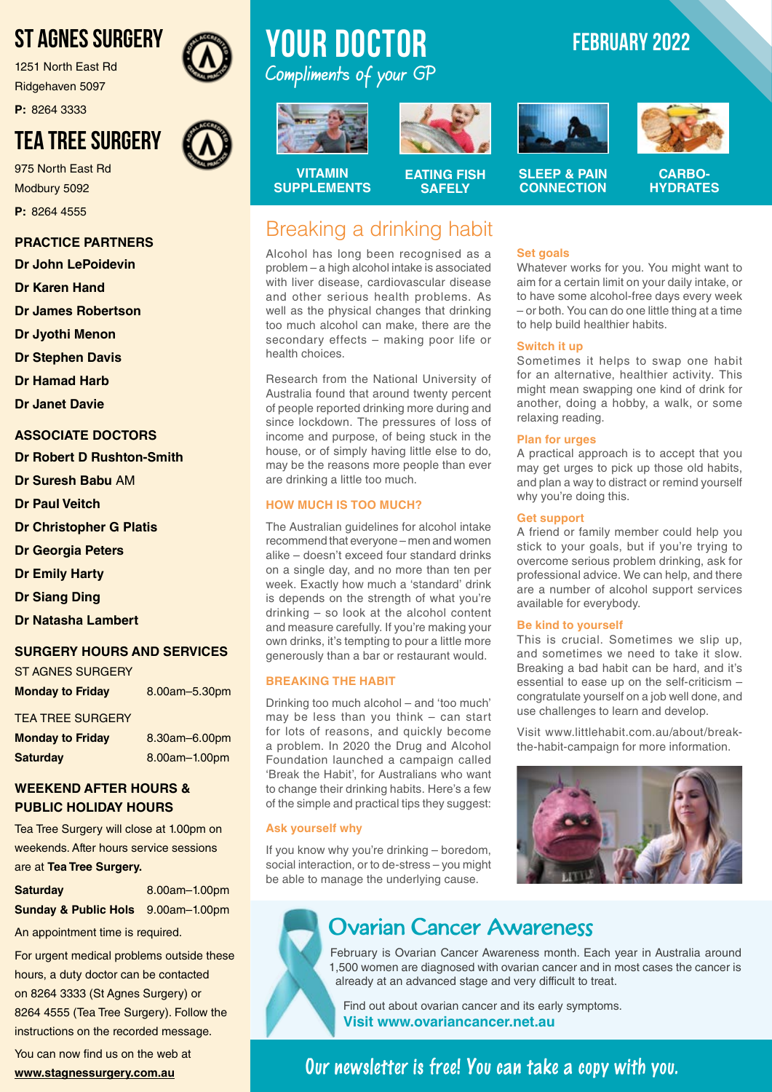# ST AGNES SURGERY

1251 North East Rd Ridgehaven 5097

**P:** 8264 3333

# TEA TREE SURGERY

975 North East Rd Modbury 5092 **P:** 8264 4555

#### **PRACTICE PARTNERS**

**Dr John LePoidevin**

**Dr Karen Hand**

**Dr James Robertson**

**Dr Jyothi Menon**

**Dr Stephen Davis**

**Dr Hamad Harb**

**Dr Janet Davie**

#### **ASSOCIATE DOCTORS**

**Dr Robert D Rushton-Smith** 

**Dr Suresh Babu** AM

- **Dr Paul Veitch**
- **Dr Christopher G Platis**
- **Dr Georgia Peters**

**Dr Emily Harty**

**Dr Siang Ding**

**Dr Natasha Lambert**

#### **SURGERY HOURS AND SERVICES**

| ST AGNES SURGERY        |               |
|-------------------------|---------------|
| <b>Monday to Friday</b> | 8.00am-5.30pm |

TEA TREE SURGERY

| <b>Monday to Friday</b> | 8.30am-6.00pm |
|-------------------------|---------------|
| <b>Saturday</b>         | 8.00am-1.00pm |

#### **WEEKEND AFTER HOURS & PUBLIC HOLIDAY HOURS**

Tea Tree Surgery will close at 1.00pm on weekends. After hours service sessions are at **Tea Tree Surgery.**

**Saturday** 8.00am–1.00pm

**Sunday & Public Hols** 9.00am–1.00pm

An appointment time is required.

For urgent medical problems outside these hours, a duty doctor can be contacted on 8264 3333 (St Agnes Surgery) or 8264 4555 (Tea Tree Surgery). Follow the instructions on the recorded message.

You can now find us on the web at **www.stagnessurgery.com.au**

# **YOUR doctor FEBRUARY 2022** Compliments of your GP

Alcohol has long been recognised as a problem – a high alcohol intake is associated with liver disease, cardiovascular disease and other serious health problems. As well as the physical changes that drinking too much alcohol can make, there are the secondary effects – making poor life or

Research from the National University of Australia found that around twenty percent of people reported drinking more during and since lockdown. The pressures of loss of income and purpose, of being stuck in the house, or of simply having little else to do, may be the reasons more people than ever

The Australian guidelines for alcohol intake recommend that everyone – men and women alike – doesn't exceed four standard drinks on a single day, and no more than ten per week. Exactly how much a 'standard' drink is depends on the strength of what you're drinking – so look at the alcohol content and measure carefully. If you're making your own drinks, it's tempting to pour a little more generously than a bar or restaurant would.

Drinking too much alcohol – and 'too much' may be less than you think – can start for lots of reasons, and quickly become a problem. In 2020 the Drug and Alcohol Foundation launched a campaign called 'Break the Habit', for Australians who want to change their drinking habits. Here's a few of the simple and practical tips they suggest:

If you know why you're drinking – boredom, social interaction, or to de-stress – you might be able to manage the underlying cause.

are drinking a little too much. **HOW MUCH IS TOO MUCH?** 

**BREAKING THE HABIT**

**Ask yourself why**



**EATING FISH SAFELY**

**VITAMIN SUPPLEMENTS**

health choices.

# Breaking a drinking habit

### **Set goals**

Whatever works for you. You might want to aim for a certain limit on your daily intake, or to have some alcohol-free days every week – or both. You can do one little thing at a time to help build healthier habits.

#### **Switch it up**

Sometimes it helps to swap one habit for an alternative, healthier activity. This might mean swapping one kind of drink for another, doing a hobby, a walk, or some relaxing reading.

#### **Plan for urges**

A practical approach is to accept that you may get urges to pick up those old habits, and plan a way to distract or remind yourself why you're doing this.

#### **Get support**

A friend or family member could help you stick to your goals, but if you're trying to overcome serious problem drinking, ask for professional advice. We can help, and there are a number of alcohol support services available for everybody.

#### **Be kind to yourself**

This is crucial. Sometimes we slip up, and sometimes we need to take it slow. Breaking a bad habit can be hard, and it's essential to ease up on the self-criticism – congratulate yourself on a job well done, and use challenges to learn and develop.

Visit www.littlehabit.com.au/about/breakthe-habit-campaign for more information.



## Ovarian Cancer Awareness

February is Ovarian Cancer Awareness month. Each year in Australia around 1,500 women are diagnosed with ovarian cancer and in most cases the cancer is already at an advanced stage and very difficult to treat.

Find out about ovarian cancer and its early symptoms. **Visit www.ovariancancer.net.au**

### **Our newsletter is free! You can take a copy with you.**





**CARBO-**

**HYDRATES**

**SLEEP & PAIN CONNECTION**





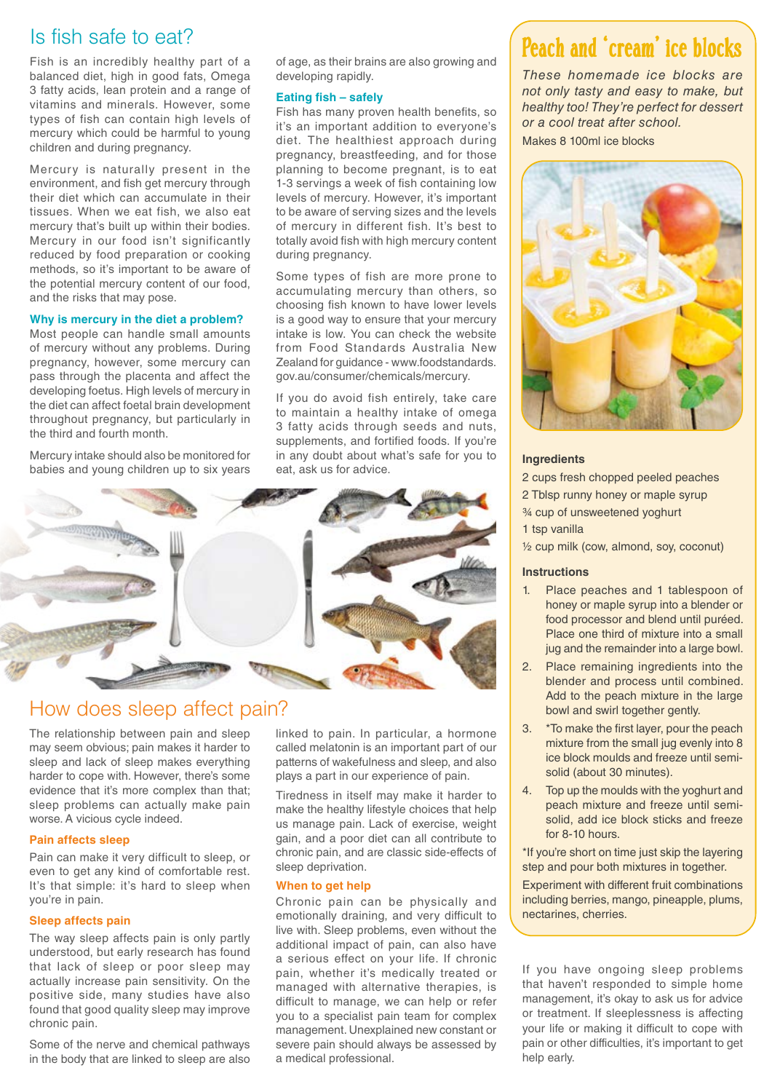### Is fish safe to eat?

Fish is an incredibly healthy part of a balanced diet, high in good fats, Omega 3 fatty acids, lean protein and a range of vitamins and minerals. However, some types of fish can contain high levels of mercury which could be harmful to young children and during pregnancy.

Mercury is naturally present in the environment, and fish get mercury through their diet which can accumulate in their tissues. When we eat fish, we also eat mercury that's built up within their bodies. Mercury in our food isn't significantly reduced by food preparation or cooking methods, so it's important to be aware of the potential mercury content of our food, and the risks that may pose.

#### **Why is mercury in the diet a problem?**

Most people can handle small amounts of mercury without any problems. During pregnancy, however, some mercury can pass through the placenta and affect the developing foetus. High levels of mercury in the diet can affect foetal brain development throughout pregnancy, but particularly in the third and fourth month.

Mercury intake should also be monitored for babies and young children up to six years of age, as their brains are also growing and developing rapidly.

#### **Eating fish – safely**

Fish has many proven health benefits, so it's an important addition to everyone's diet. The healthiest approach during pregnancy, breastfeeding, and for those planning to become pregnant, is to eat 1-3 servings a week of fish containing low levels of mercury. However, it's important to be aware of serving sizes and the levels of mercury in different fish. It's best to totally avoid fish with high mercury content during pregnancy.

Some types of fish are more prone to accumulating mercury than others, so choosing fish known to have lower levels is a good way to ensure that your mercury intake is low. You can check the website from Food Standards Australia New Zealand for guidance - www.foodstandards. gov.au/consumer/chemicals/mercury.

If you do avoid fish entirely, take care to maintain a healthy intake of omega 3 fatty acids through seeds and nuts, supplements, and fortified foods. If you're in any doubt about what's safe for you to eat, ask us for advice.



### How does sleep affect pain?

The relationship between pain and sleep may seem obvious; pain makes it harder to sleep and lack of sleep makes everything harder to cope with. However, there's some evidence that it's more complex than that; sleep problems can actually make pain worse. A vicious cycle indeed.

#### **Pain affects sleep**

Pain can make it very difficult to sleep, or even to get any kind of comfortable rest. It's that simple: it's hard to sleep when you're in pain.

#### **Sleep affects pain**

The way sleep affects pain is only partly understood, but early research has found that lack of sleep or poor sleep may actually increase pain sensitivity. On the positive side, many studies have also found that good quality sleep may improve chronic pain.

Some of the nerve and chemical pathways in the body that are linked to sleep are also linked to pain. In particular, a hormone called melatonin is an important part of our patterns of wakefulness and sleep, and also plays a part in our experience of pain.

Tiredness in itself may make it harder to make the healthy lifestyle choices that help us manage pain. Lack of exercise, weight gain, and a poor diet can all contribute to chronic pain, and are classic side-effects of sleep deprivation.

#### **When to get help**

Chronic pain can be physically and emotionally draining, and very difficult to live with. Sleep problems, even without the additional impact of pain, can also have a serious effect on your life. If chronic pain, whether it's medically treated or managed with alternative therapies, is difficult to manage, we can help or refer you to a specialist pain team for complex management. Unexplained new constant or severe pain should always be assessed by a medical professional.

# Peach and 'cream' ice blocks

*These homemade ice blocks are not only tasty and easy to make, but healthy too! They're perfect for dessert or a cool treat after school.*

Makes 8 100ml ice blocks



#### **Ingredients**

2 cups fresh chopped peeled peaches

2 Tblsp runny honey or maple syrup

¾ cup of unsweetened yoghurt

1 tsp vanilla

½ cup milk (cow, almond, soy, coconut)

#### **Instructions**

- 1. Place peaches and 1 tablespoon of honey or maple syrup into a blender or food processor and blend until puréed. Place one third of mixture into a small jug and the remainder into a large bowl.
- 2. Place remaining ingredients into the blender and process until combined. Add to the peach mixture in the large bowl and swirl together gently.
- 3. \*To make the first layer, pour the peach mixture from the small jug evenly into 8 ice block moulds and freeze until semisolid (about 30 minutes).
- 4. Top up the moulds with the yoghurt and peach mixture and freeze until semisolid, add ice block sticks and freeze for 8-10 hours.

\*If you're short on time just skip the layering step and pour both mixtures in together.

Experiment with different fruit combinations including berries, mango, pineapple, plums, nectarines, cherries.

If you have ongoing sleep problems that haven't responded to simple home management, it's okay to ask us for advice or treatment. If sleeplessness is affecting your life or making it difficult to cope with pain or other difficulties, it's important to get help early.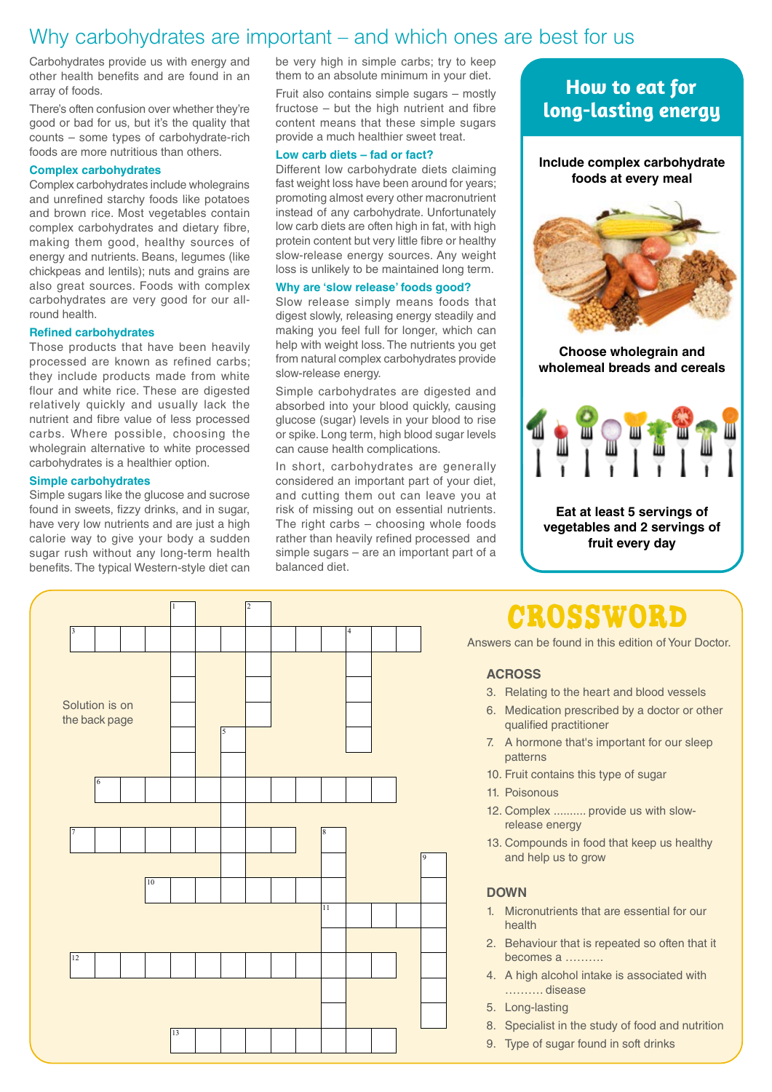### Why carbohydrates are important – and which ones are best for us

Carbohydrates provide us with energy and other health benefits and are found in an array of foods.

There's often confusion over whether they're good or bad for us, but it's the quality that counts – some types of carbohydrate-rich foods are more nutritious than others.

#### **Complex carbohydrates**

Complex carbohydrates include wholegrains and unrefined starchy foods like potatoes and brown rice. Most vegetables contain complex carbohydrates and dietary fibre, making them good, healthy sources of energy and nutrients. Beans, legumes (like chickpeas and lentils); nuts and grains are also great sources. Foods with complex carbohydrates are very good for our allround health.

#### **Refined carbohydrates**

Those products that have been heavily processed are known as refined carbs; they include products made from white flour and white rice. These are digested relatively quickly and usually lack the nutrient and fibre value of less processed carbs. Where possible, choosing the wholegrain alternative to white processed carbohydrates is a healthier option.

#### **Simple carbohydrates**

Simple sugars like the glucose and sucrose found in sweets, fizzy drinks, and in sugar, have very low nutrients and are just a high calorie way to give your body a sudden sugar rush without any long-term health benefits. The typical Western-style diet can be very high in simple carbs; try to keep them to an absolute minimum in your diet.

Fruit also contains simple sugars – mostly fructose – but the high nutrient and fibre content means that these simple sugars provide a much healthier sweet treat.

#### **Low carb diets – fad or fact?**

Different low carbohydrate diets claiming fast weight loss have been around for years; promoting almost every other macronutrient instead of any carbohydrate. Unfortunately low carb diets are often high in fat, with high protein content but very little fibre or healthy slow-release energy sources. Any weight loss is unlikely to be maintained long term.

#### **Why are 'slow release' foods good?**

Slow release simply means foods that digest slowly, releasing energy steadily and making you feel full for longer, which can help with weight loss. The nutrients you get from natural complex carbohydrates provide slow-release energy.

Simple carbohydrates are digested and absorbed into your blood quickly, causing glucose (sugar) levels in your blood to rise or spike. Long term, high blood sugar levels can cause health complications.

In short, carbohydrates are generally considered an important part of your diet, and cutting them out can leave you at risk of missing out on essential nutrients. The right carbs – choosing whole foods rather than heavily refined processed and simple sugars – are an important part of a balanced diet.

### **How to eat for long-lasting energy**





**Eat at least 5 servings of vegetables and 2 servings of fruit every day**

# **CROSSWORD**

Answers can be found in this edition of Your Doctor.

#### **ACROSS**

- 3. Relating to the heart and blood vessels
- 6. Medication prescribed by a doctor or other qualified practitioner
- 7. A hormone that's important for our sleep patterns
- 10. Fruit contains this type of sugar
- 11. Poisonous
- 12. Complex .......... provide us with slowrelease energy
- 13. Compounds in food that keep us healthy and help us to grow

#### **DOWN**

- 1. Micronutrients that are essential for our health
- 2. Behaviour that is repeated so often that it becomes a ……….
- 4. A high alcohol intake is associated with ………. disease
- 5. Long-lasting
- 8. Specialist in the study of food and nutrition
- 9. Type of sugar found in soft drinks